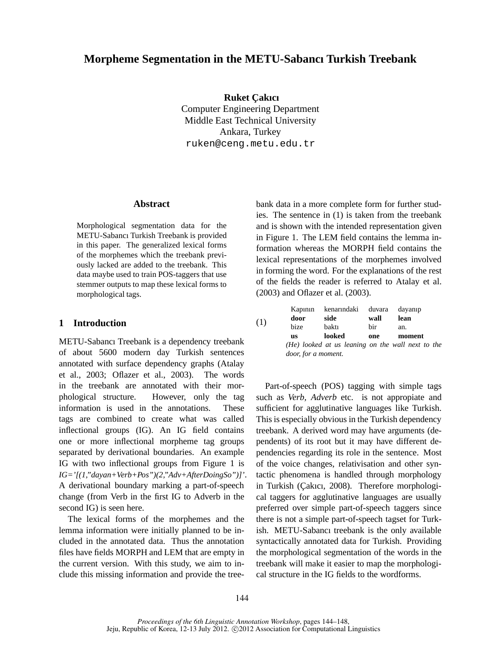# **Morpheme Segmentation in the METU-Sabancı Turkish Treebank**

**Ruket Çakıcı** Computer Engineering Department Middle East Technical University Ankara, Turkey ruken@ceng.metu.edu.tr

## **Abstract**

Morphological segmentation data for the METU-Sabancı Turkish Treebank is provided in this paper. The generalized lexical forms of the morphemes which the treebank previously lacked are added to the treebank. This data maybe used to train POS-taggers that use stemmer outputs to map these lexical forms to morphological tags.

# **1 Introduction**

METU-Sabancı Treebank is a dependency treebank of about 5600 modern day Turkish sentences annotated with surface dependency graphs (Atalay et al., 2003; Oflazer et al., 2003). The words in the treebank are annotated with their morphological structure. However, only the tag information is used in the annotations. These tags are combined to create what was called inflectional groups (IG). An IG field contains one or more inflectional morpheme tag groups separated by derivational boundaries. An example IG with two inflectional groups from Figure 1 is *IG='[(1,"dayan+Verb+Pos")(2,"Adv+AfterDoingSo")]'*. A derivational boundary marking a part-of-speech change (from Verb in the first IG to Adverb in the second IG) is seen here.

The lexical forms of the morphemes and the lemma information were initially planned to be included in the annotated data. Thus the annotation files have fields MORPH and LEM that are empty in the current version. With this study, we aim to include this missing information and provide the treebank data in a more complete form for further studies. The sentence in (1) is taken from the treebank and is shown with the intended representation given in Figure 1. The LEM field contains the lemma information whereas the MORPH field contains the lexical representations of the morphemes involved in forming the word. For the explanations of the rest of the fields the reader is referred to Atalay et al. (2003) and Oflazer et al. (2003).

|     | Kapının             | kenarındaki duvara |      | dayanıp                                           |  |  |
|-----|---------------------|--------------------|------|---------------------------------------------------|--|--|
| (1) | door                | side               | wall | lean                                              |  |  |
|     | bize                | baktı              | bir  | an.                                               |  |  |
|     | <b>us</b>           | looked             | one  | moment                                            |  |  |
|     |                     |                    |      | (He) looked at us leaning on the wall next to the |  |  |
|     | door, for a moment. |                    |      |                                                   |  |  |

Part-of-speech (POS) tagging with simple tags such as *Verb, Adverb* etc. is not appropiate and sufficient for agglutinative languages like Turkish. This is especially obvious in the Turkish dependency treebank. A derived word may have arguments (dependents) of its root but it may have different dependencies regarding its role in the sentence. Most of the voice changes, relativisation and other syntactic phenomena is handled through morphology in Turkish (Çakıcı, 2008). Therefore morphological taggers for agglutinative languages are usually preferred over simple part-of-speech taggers since there is not a simple part-of-speech tagset for Turkish. METU-Sabancı treebank is the only available syntactically annotated data for Turkish. Providing the morphological segmentation of the words in the treebank will make it easier to map the morphological structure in the IG fields to the wordforms.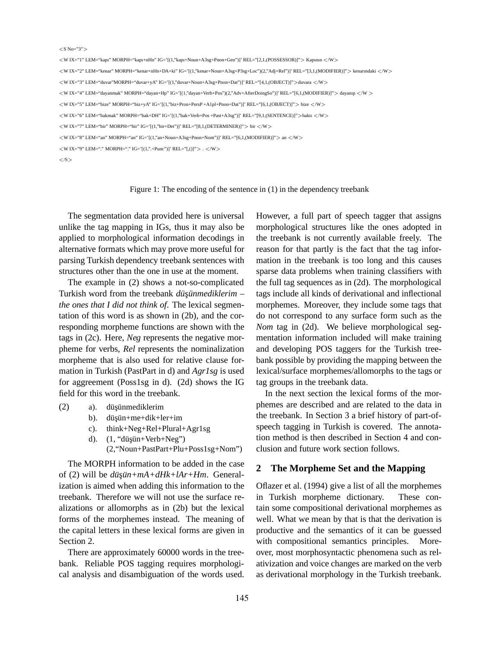| $<$ S No="3">                                                                                                                                                   |
|-----------------------------------------------------------------------------------------------------------------------------------------------------------------|
| $\langle WIX="1"LEM="kap1" MORPH="kap1+nHn" IG='[(1,"kap1+Noun+A3se+Pnon+Gen")]' REL="[2,1,(POSSESSOR)]" > Kapının \langle W \rangle$                           |
| $\langle WIX="2"LEM="kenaar" MORPH="kenar+nHn+DA+ki"IG='[(1,"kenar+Noun+A3sg+P3sg+Loc")(2,"Adj+Rel")]$ 'REL="[3,1,(MODIFIER)]"> kenarındaki $\langle W \rangle$ |
| <wix="3" ig='[(1,"duvar+Noun+A3sg+Pnon+Dat")]' lem="duvar" morph="duvar+yA" rel="[4,1,(OBJECT)]">duvara </wix="3">                                              |
| $\langle WIX = "4"LEM = "dayanmak" MORPH = "dayan + Hp"IG = [(1,"dayan +Verb + Pos")](2,"Adv + AfterDoingSo")]'REL = "[6,1,(MODIFIER)]" > dayanipW$             |
| $\langle WIX=$ "5" LEM="bize" MORPH="biz+yA" IG='[(1,"biz+Pron+PersP +A1pl+Pnon+Dat")]' REL="[6,1,(OBJECT)]"> bize $\langle W \rangle$                          |
| $\langle WIX="6"$ LEM="bakmak" MORPH="bak+DH" IG='[(1,"bak+Verb+Pos +Past+A3sg")]' REL="[9,1,(SENTENCE)]">bakti $\langle W \rangle$                             |
| $\langle W\right]$ IX="7" LEM="bir" MORPH="bir" IG='[(1,"bir+Det")]' REL="[8,1,(DETERMINER)]"> bir $\langle W \rangle$                                          |
| $\langle WIX="8"$ LEM="an" MORPH="an" IG='[(1,"an+Noun+A3sg+Pnon+Nom")]' REL="[6,1,(MODIFIER)]"> an $\langle W \rangle$                                         |
| $\langle W X=$ "9" LEM="." MORPH="." IG='[(1,".+Punc")]' REL="[,()]">. $\langle W \rangle$                                                                      |
| $\langle$ /S $>$                                                                                                                                                |

#### Figure 1: The encoding of the sentence in (1) in the dependency treebank

The segmentation data provided here is universal unlike the tag mapping in IGs, thus it may also be applied to morphological information decodings in alternative formats which may prove more useful for parsing Turkish dependency treebank sentences with structures other than the one in use at the moment.

The example in (2) shows a not-so-complicated Turkish word from the treebank *düşünmediklerim* – *the ones that I did not think of*. The lexical segmentation of this word is as shown in (2b), and the corresponding morpheme functions are shown with the tags in (2c). Here, *Neg* represents the negative morpheme for verbs, *Rel* represents the nominalization morpheme that is also used for relative clause formation in Turkish (PastPart in d) and *Agr1sg* is used for aggreement (Poss1sg in d). (2d) shows the IG field for this word in the treebank.

- $(2)$  a). düsünmediklerim
	- b). düşün+me+dik+ler+im
	- c). think+Neg+Rel+Plural+Agr1sg
	- d).  $(1, "düşün+Verb+Neg")$

(2,"Noun+PastPart+Plu+Poss1sg+Nom")

The MORPH information to be added in the case of (2) will be *düşün+mA+dHk+lAr+Hm*. Generalization is aimed when adding this information to the treebank. Therefore we will not use the surface realizations or allomorphs as in (2b) but the lexical forms of the morphemes instead. The meaning of the capital letters in these lexical forms are given in Section 2.

There are approximately 60000 words in the treebank. Reliable POS tagging requires morphological analysis and disambiguation of the words used. However, a full part of speech tagger that assigns morphological structures like the ones adopted in the treebank is not currently available freely. The reason for that partly is the fact that the tag information in the treebank is too long and this causes sparse data problems when training classifiers with the full tag sequences as in (2d). The morphological tags include all kinds of derivational and inflectional morphemes. Moreover, they include some tags that do not correspond to any surface form such as the *Nom* tag in (2d). We believe morphological segmentation information included will make training and developing POS taggers for the Turkish treebank possible by providing the mapping between the lexical/surface morphemes/allomorphs to the tags or tag groups in the treebank data.

In the next section the lexical forms of the morphemes are described and are related to the data in the treebank. In Section 3 a brief history of part-ofspeech tagging in Turkish is covered. The annotation method is then described in Section 4 and conclusion and future work section follows.

# **2 The Morpheme Set and the Mapping**

Oflazer et al. (1994) give a list of all the morphemes in Turkish morpheme dictionary. These contain some compositional derivational morphemes as well. What we mean by that is that the derivation is productive and the semantics of it can be guessed with compositional semantics principles. Moreover, most morphosyntactic phenomena such as relativization and voice changes are marked on the verb as derivational morphology in the Turkish treebank.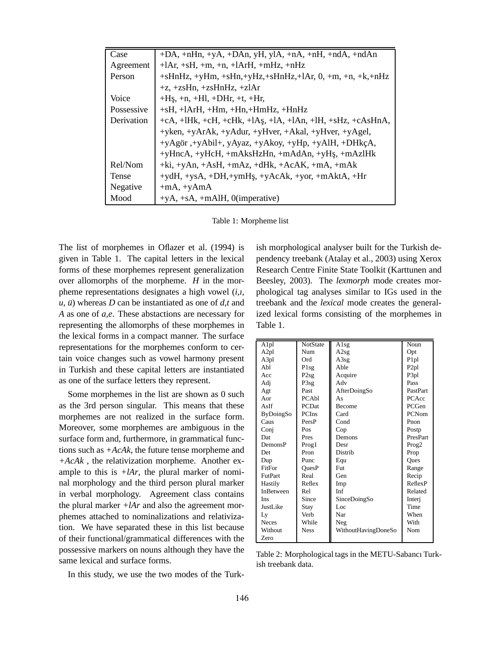| Case       | $+DA$ , $+nHn$ , $+yA$ , $+DAn$ , $yH$ , $yIA$ , $+nA$ , $+nH$ , $+ndA$ , $+ndAn$           |  |  |
|------------|---------------------------------------------------------------------------------------------|--|--|
| Agreement  | $+1Ar, +sH, +m, +n, +1ArH, +mHz, +nHz$                                                      |  |  |
| Person     | $+sHnHz$ , $+yHm$ , $+sHn$ , $+yHz$ , $+sHnHz$ , $+1Ar$ , $0$ , $+m$ , $+n$ , $+k$ , $+nHz$ |  |  |
|            | $+z$ , +zsHn, +zsHnHz, +zlAr                                                                |  |  |
| Voice      | $+H_{S_2}$ , +n, +Hl, +DHr, +t, +Hr,                                                        |  |  |
| Possessive | $+$ sH, $+$ lArH, $+$ Hm, $+$ Hn, $+$ HmHz, $+$ HnHz                                        |  |  |
| Derivation | $+cA$ , $+IHK$ , $+cH$ , $+cHk$ , $+IAs$ , $+IA$ , $+IAn$ , $+IH$ , $+sHz$ , $+cAsHnA$ ,    |  |  |
|            | +yken, +yArAk, +yAdur, +yHver, +Akal, +yHver, +yAgel,                                       |  |  |
|            | +yAgör, +yAbil+, yAyaz, +yAkoy, +yHp, +yAlH, +DHkçA,                                        |  |  |
|            | +yHncA, +yHcH, +mAksHzHn, +mAdAn, +yHş, +mAzlHk                                             |  |  |
| Rel/Nom    | $+ki, +yAn, +AsH, +mAz, +dHk, +AcAK, +mA, +mAk$                                             |  |  |
| Tense      | $+ydH$ , $+ysA$ , $+DH$ , $+ymH$ s, $+yAcAk$ , $+yor$ , $+mAktA$ , $+Hr$                    |  |  |
| Negative   | $+mA$ , $+yAmA$                                                                             |  |  |
| Mood       | $+yA$ , +sA, +mAlH, 0(imperative)                                                           |  |  |

Table 1: Morpheme list

The list of morphemes in Oflazer et al. (1994) is given in Table 1. The capital letters in the lexical forms of these morphemes represent generalization over allomorphs of the morpheme.  $H$  in the morpheme representations designates a high vowel (*i,ı, ,*  $*u*$ *) whereas <i>D* can be instantiated as one of *,*  $*t*$  *and A* as one of *a,e*. These abstactions are necessary for representing the allomorphs of these morphemes in the lexical forms in a compact manner. The surface representations for the morphemes conform to certain voice changes such as vowel harmony present in Turkish and these capital letters are instantiated as one of the surface letters they represent.

Some morphemes in the list are shown as 0 such as the 3rd person singular. This means that these morphemes are not realized in the surface form. Moreover, some morphemes are ambiguous in the surface form and, furthermore, in grammatical functions such as *+AcAk*, the future tense morpheme and *+AcAk* , the relativization morpheme. Another example to this is  $+IAr$ , the plural marker of nominal morphology and the third person plural marker in verbal morphology. Agreement class contains the plural marker  $+IAr$  and also the agreement morphemes attached to nominalizations and relativization. We have separated these in this list because of their functional/grammatical differences with the possessive markers on nouns although they have the same lexical and surface forms.

In this study, we use the two modes of the Turk-

ish morphological analyser built for the Turkish dependency treebank (Atalay et al., 2003) using Xerox Research Centre Finite State Toolkit (Karttunen and Beesley, 2003). The *lexmorph* mode creates morphological tag analyses similar to IGs used in the treebank and the *lexical* mode creates the generalized lexical forms consisting of the morphemes in Table 1.

| $\overline{Alpl}$ | <b>NotState</b>  | Alsg                | Noun              |
|-------------------|------------------|---------------------|-------------------|
| A <sub>2</sub> pl | Num              | A2sg                | Opt               |
| A3pl              | Ord              | A3sg                | P <sub>1p</sub> l |
| Abl               | P <sub>1sg</sub> | Able                | P <sub>2pl</sub>  |
| Acc               | P2sg             | Acquire             | P <sub>3pl</sub>  |
| Adj               | P3sg             | Adv                 | Pass              |
| Agt               | Past             | AfterDoingSo        | PastPart          |
| $A$ or            | PCAbl            | As                  | PCAcc             |
| AsIf              | <b>PCDat</b>     | <b>Become</b>       | PCGen             |
| <b>ByDoingSo</b>  | <b>PCIns</b>     | Card                | <b>PCNom</b>      |
| Caus              | PersP            | Cond                | Pnon              |
| Conj              | Pos              | Cop                 | Postp             |
| Dat               | Pres             | Demons              | PresPart          |
| DemonsP           | Prog1            | Desr                | Prog <sub>2</sub> |
| Det               | Pron             | Distrib             | Prop              |
| Dup               | Punc             | Equ                 | Ques              |
| FitFor            | OuesP            | Fut                 | Range             |
| <b>FutPart</b>    | Real             | Gen                 | Recip             |
| Hastily           | Reflex           | Imp                 | ReflexP           |
| <b>InBetween</b>  | Rel              | Inf                 | Related           |
| Ins               | Since            | SinceDoingSo        | Interi            |
| JustI <i>ike</i>  | Stay             | Loc                 | Time              |
| Ly                | Verb             | Nar                 | When              |
| <b>Neces</b>      | While            | Neg                 | With              |
| Without           | <b>Ness</b>      | WithoutHavingDoneSo | Nom               |
| Zero              |                  |                     |                   |

Table 2: Morphological tags in the METU-Sabancı Turkish treebank data.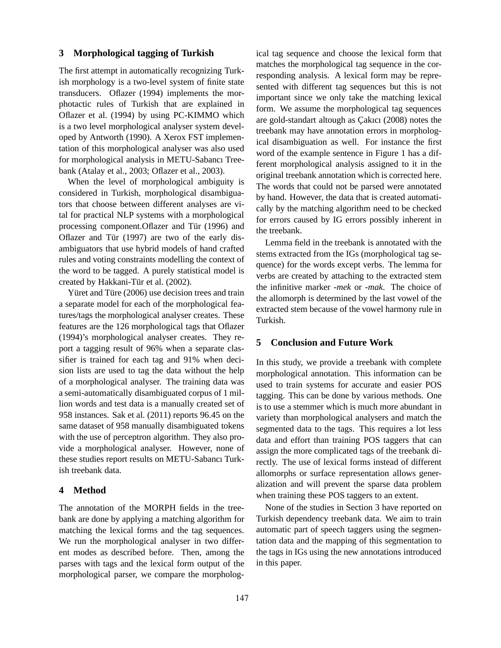#### **3 Morphological tagging of Turkish**

The first attempt in automatically recognizing Turkish morphology is a two-level system of finite state transducers. Oflazer (1994) implements the morphotactic rules of Turkish that are explained in Oflazer et al. (1994) by using PC-KIMMO which is a two level morphological analyser system developed by Antworth (1990). A Xerox FST implementation of this morphological analyser was also used for morphological analysis in METU-Sabancı Treebank (Atalay et al., 2003; Oflazer et al., 2003).

When the level of morphological ambiguity is considered in Turkish, morphological disambiguators that choose between different analyses are vital for practical NLP systems with a morphological processing component. Of lazer and Tür (1996) and Oflazer and Tür  $(1997)$  are two of the early disambiguators that use hybrid models of hand crafted rules and voting constraints modelling the context of the word to be tagged. A purely statistical model is created by Hakkani-Tür et al. (2002).

Yüret and Türe (2006) use decision trees and train a separate model for each of the morphological features/tags the morphological analyser creates. These features are the 126 morphological tags that Oflazer (1994)'s morphological analyser creates. They report a tagging result of 96% when a separate classifier is trained for each tag and 91% when decision lists are used to tag the data without the help of a morphological analyser. The training data was a semi-automatically disambiguated corpus of 1 million words and test data is a manually created set of 958 instances. Sak et al. (2011) reports 96.45 on the same dataset of 958 manually disambiguated tokens with the use of perceptron algorithm. They also provide a morphological analyser. However, none of these studies report results on METU-Sabancı Turkish treebank data.

#### **4 Method**

The annotation of the MORPH fields in the treebank are done by applying a matching algorithm for matching the lexical forms and the tag sequences. We run the morphological analyser in two different modes as described before. Then, among the parses with tags and the lexical form output of the morphological parser, we compare the morphological tag sequence and choose the lexical form that matches the morphological tag sequence in the corresponding analysis. A lexical form may be represented with different tag sequences but this is not important since we only take the matching lexical form. We assume the morphological tag sequences are gold-standart altough as Çakıcı (2008) notes the treebank may have annotation errors in morphological disambiguation as well. For instance the first word of the example sentence in Figure 1 has a different morphological analysis assigned to it in the original treebank annotation which is corrected here. The words that could not be parsed were annotated by hand. However, the data that is created automatically by the matching algorithm need to be checked for errors caused by IG errors possibly inherent in the treebank.

Lemma field in the treebank is annotated with the stems extracted from the IGs (morphological tag sequence) for the words except verbs. The lemma for verbs are created by attaching to the extracted stem the infinitive marker *-mek* or *-mak*. The choice of the allomorph is determined by the last vowel of the extracted stem because of the vowel harmony rule in Turkish.

# **5 Conclusion and Future Work**

In this study, we provide a treebank with complete morphological annotation. This information can be used to train systems for accurate and easier POS tagging. This can be done by various methods. One is to use a stemmer which is much more abundant in variety than morphological analysers and match the segmented data to the tags. This requires a lot less data and effort than training POS taggers that can assign the more complicated tags of the treebank directly. The use of lexical forms instead of different allomorphs or surface representation allows generalization and will prevent the sparse data problem when training these POS taggers to an extent.

None of the studies in Section 3 have reported on Turkish dependency treebank data. We aim to train automatic part of speech taggers using the segmentation data and the mapping of this segmentation to the tags in IGs using the new annotations introduced in this paper.